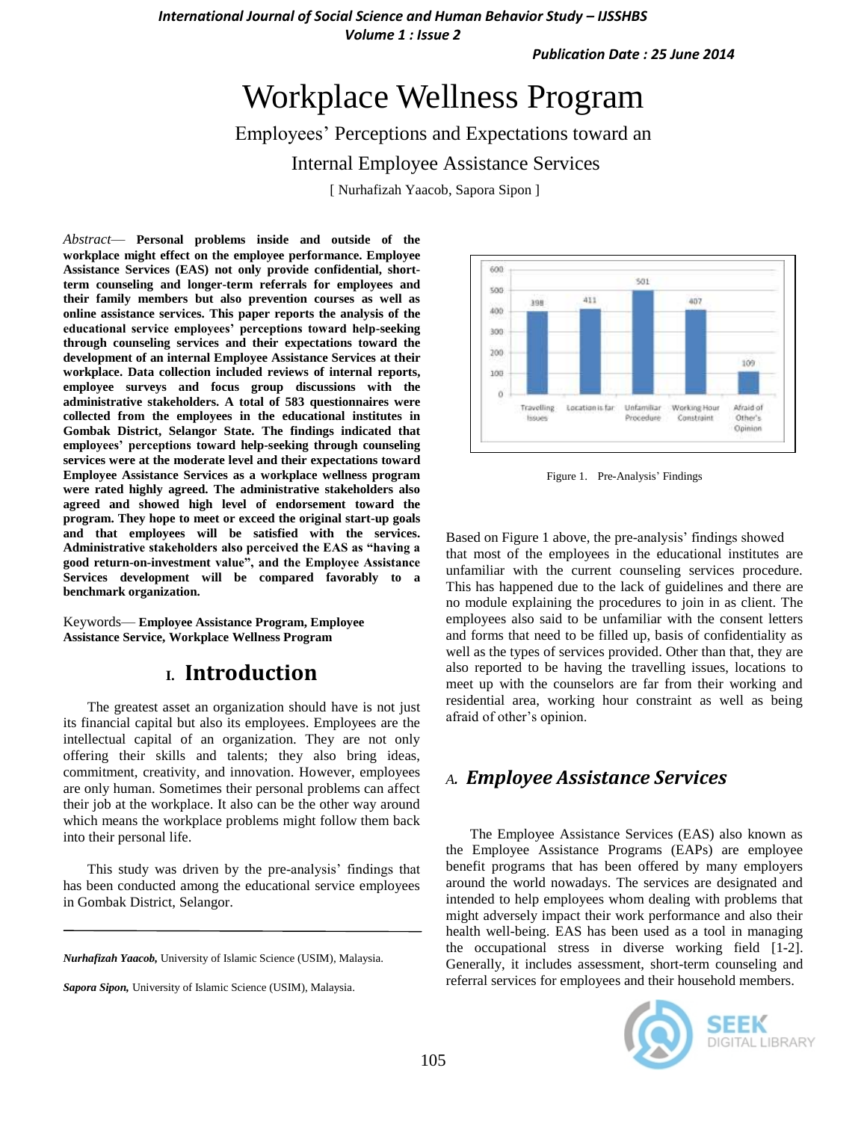*International Journal of Social Science and Human Behavior Study – IJSSHBS Volume 1 : Issue 2*

*Publication Date : 25 June 2014*

# Workplace Wellness Program

Employees' Perceptions and Expectations toward an

Internal Employee Assistance Services

[ Nurhafizah Yaacob, Sapora Sipon ]

*Abstract*— **Personal problems inside and outside of the workplace might effect on the employee performance. Employee Assistance Services (EAS) not only provide confidential, shortterm counseling and longer-term referrals for employees and their family members but also prevention courses as well as online assistance services. This paper reports the analysis of the educational service employees' perceptions toward help-seeking through counseling services and their expectations toward the development of an internal Employee Assistance Services at their workplace. Data collection included reviews of internal reports, employee surveys and focus group discussions with the administrative stakeholders. A total of 583 questionnaires were collected from the employees in the educational institutes in Gombak District, Selangor State. The findings indicated that employees' perceptions toward help-seeking through counseling services were at the moderate level and their expectations toward Employee Assistance Services as a workplace wellness program were rated highly agreed. The administrative stakeholders also agreed and showed high level of endorsement toward the program. They hope to meet or exceed the original start-up goals and that employees will be satisfied with the services. Administrative stakeholders also perceived the EAS as "having a good return-on-investment value", and the Employee Assistance Services development will be compared favorably to a benchmark organization.** 

Keywords— **Employee Assistance Program, Employee Assistance Service, Workplace Wellness Program**

# **I. Introduction**

The greatest asset an organization should have is not just its financial capital but also its employees. Employees are the intellectual capital of an organization. They are not only offering their skills and talents; they also bring ideas, commitment, creativity, and innovation. However, employees are only human. Sometimes their personal problems can affect their job at the workplace. It also can be the other way around which means the workplace problems might follow them back into their personal life.

This study was driven by the pre-analysis' findings that has been conducted among the educational service employees in Gombak District, Selangor.

*Nurhafizah Yaacob,* University of Islamic Science (USIM), Malaysia.



Figure 1. Pre-Analysis' Findings

Based on Figure 1 above, the pre-analysis' findings showed that most of the employees in the educational institutes are unfamiliar with the current counseling services procedure. This has happened due to the lack of guidelines and there are no module explaining the procedures to join in as client. The employees also said to be unfamiliar with the consent letters and forms that need to be filled up, basis of confidentiality as well as the types of services provided. Other than that, they are also reported to be having the travelling issues, locations to meet up with the counselors are far from their working and residential area, working hour constraint as well as being afraid of other's opinion.

#### *A. Employee Assistance Services*

The Employee Assistance Services (EAS) also known as the Employee Assistance Programs (EAPs) are employee benefit programs that has been offered by many employers around the world nowadays. The services are designated and intended to help employees whom dealing with problems that might adversely impact their work performance and also their health well-being. EAS has been used as a tool in managing the occupational stress in diverse working field [1-2]. Generally, it includes assessment, short-term counseling and referral services for employees and their household members.



*Sapora Sipon,* University of Islamic Science (USIM), Malaysia.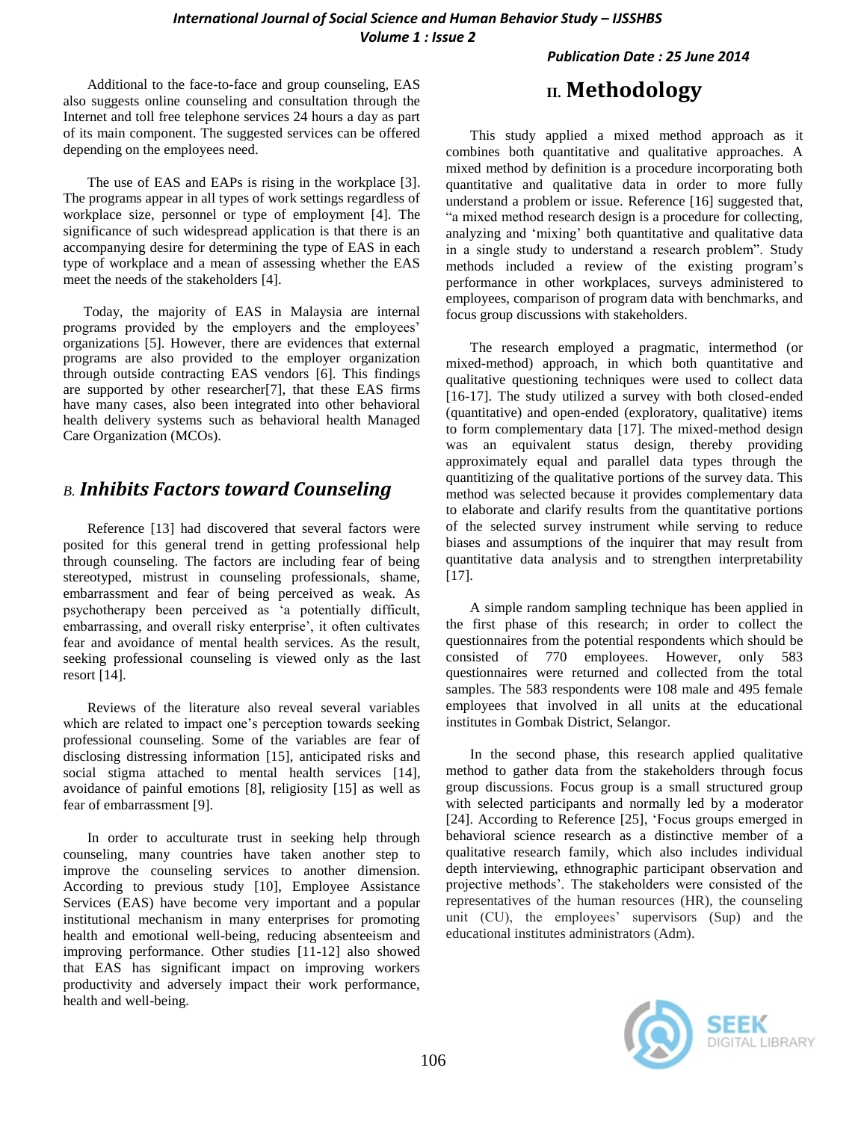*Publication Date : 25 June 2014*

Additional to the face-to-face and group counseling, EAS also suggests online counseling and consultation through the Internet and toll free telephone services 24 hours a day as part of its main component. The suggested services can be offered depending on the employees need.

The use of EAS and EAPs is rising in the workplace [3]. The programs appear in all types of work settings regardless of workplace size, personnel or type of employment [4]. The significance of such widespread application is that there is an accompanying desire for determining the type of EAS in each type of workplace and a mean of assessing whether the EAS meet the needs of the stakeholders [4].

Today, the majority of EAS in Malaysia are internal programs provided by the employers and the employees' organizations [5]. However, there are evidences that external programs are also provided to the employer organization through outside contracting EAS vendors [6]. This findings are supported by other researcher[7], that these EAS firms have many cases, also been integrated into other behavioral health delivery systems such as behavioral health Managed Care Organization (MCOs).

### *B. Inhibits Factors toward Counseling*

Reference [13] had discovered that several factors were posited for this general trend in getting professional help through counseling. The factors are including fear of being stereotyped, mistrust in counseling professionals, shame, embarrassment and fear of being perceived as weak. As psychotherapy been perceived as ‗a potentially difficult, embarrassing, and overall risky enterprise', it often cultivates fear and avoidance of mental health services. As the result, seeking professional counseling is viewed only as the last resort [14].

Reviews of the literature also reveal several variables which are related to impact one's perception towards seeking professional counseling. Some of the variables are fear of disclosing distressing information [15], anticipated risks and social stigma attached to mental health services [14], avoidance of painful emotions [8], religiosity [15] as well as fear of embarrassment [9].

In order to acculturate trust in seeking help through counseling, many countries have taken another step to improve the counseling services to another dimension. According to previous study [10], Employee Assistance Services (EAS) have become very important and a popular institutional mechanism in many enterprises for promoting health and emotional well-being, reducing absenteeism and improving performance. Other studies [11-12] also showed that EAS has significant impact on improving workers productivity and adversely impact their work performance, health and well-being.

# **II. Methodology**

This study applied a mixed method approach as it combines both quantitative and qualitative approaches. A mixed method by definition is a procedure incorporating both quantitative and qualitative data in order to more fully understand a problem or issue. Reference [16] suggested that, ―a mixed method research design is a procedure for collecting, analyzing and ‗mixing' both quantitative and qualitative data in a single study to understand a research problem". Study methods included a review of the existing program's performance in other workplaces, surveys administered to employees, comparison of program data with benchmarks, and focus group discussions with stakeholders.

The research employed a pragmatic, intermethod (or mixed-method) approach, in which both quantitative and qualitative questioning techniques were used to collect data [16-17]. The study utilized a survey with both closed-ended (quantitative) and open-ended (exploratory, qualitative) items to form complementary data [17]. The mixed-method design was an equivalent status design, thereby providing approximately equal and parallel data types through the quantitizing of the qualitative portions of the survey data. This method was selected because it provides complementary data to elaborate and clarify results from the quantitative portions of the selected survey instrument while serving to reduce biases and assumptions of the inquirer that may result from quantitative data analysis and to strengthen interpretability  $[17]$ .

A simple random sampling technique has been applied in the first phase of this research; in order to collect the questionnaires from the potential respondents which should be consisted of 770 employees. However, only 583 questionnaires were returned and collected from the total samples. The 583 respondents were 108 male and 495 female employees that involved in all units at the educational institutes in Gombak District, Selangor.

In the second phase, this research applied qualitative method to gather data from the stakeholders through focus group discussions. Focus group is a small structured group with selected participants and normally led by a moderator [24]. According to Reference [25], 'Focus groups emerged in behavioral science research as a distinctive member of a qualitative research family, which also includes individual depth interviewing, ethnographic participant observation and projective methods'. The stakeholders were consisted of the representatives of the human resources (HR), the counseling unit (CU), the employees' supervisors (Sup) and the educational institutes administrators (Adm).

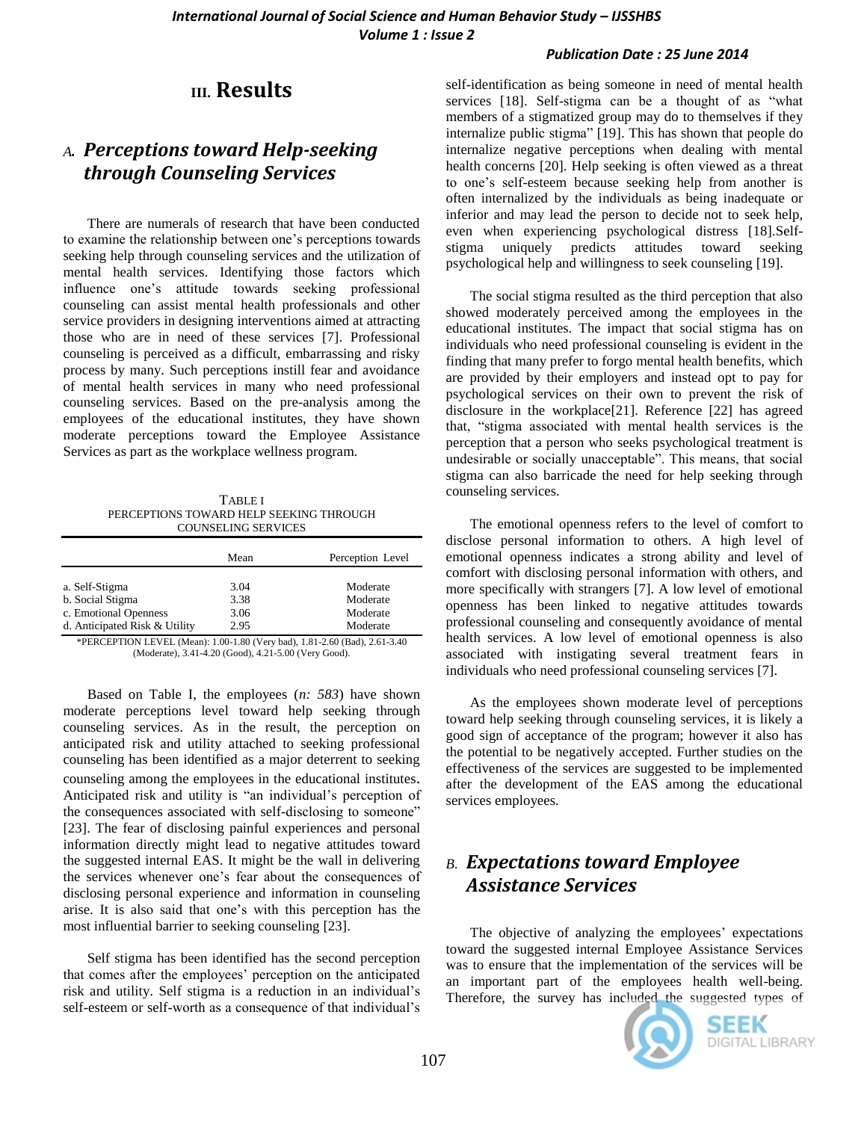#### *Publication Date : 25 June 2014*

### **III. Results**

### *A. Perceptions toward Help-seeking through Counseling Services*

There are numerals of research that have been conducted to examine the relationship between one's perceptions towards seeking help through counseling services and the utilization of mental health services. Identifying those factors which influence one's attitude towards seeking professional counseling can assist mental health professionals and other service providers in designing interventions aimed at attracting those who are in need of these services [7]. Professional counseling is perceived as a difficult, embarrassing and risky process by many. Such perceptions instill fear and avoidance of mental health services in many who need professional counseling services. Based on the pre-analysis among the employees of the educational institutes, they have shown moderate perceptions toward the Employee Assistance Services as part as the workplace wellness program.

TABLE I PERCEPTIONS TOWARD HELP SEEKING THROUGH COUNSELING SERVICES

|                               | Mean | Perception Level |
|-------------------------------|------|------------------|
| a. Self-Stigma                | 3.04 | Moderate         |
| b. Social Stigma              | 3.38 | Moderate         |
| c. Emotional Openness         | 3.06 | Moderate         |
| d. Anticipated Risk & Utility | 2.95 | Moderate         |

\*PERCEPTION LEVEL (Mean): 1.00-1.80 (Very bad), 1.81-2.60 (Bad), 2.61-3.40 (Moderate), 3.41-4.20 (Good), 4.21-5.00 (Very Good).

Based on Table I, the employees (*n: 583*) have shown moderate perceptions level toward help seeking through counseling services. As in the result, the perception on anticipated risk and utility attached to seeking professional counseling has been identified as a major deterrent to seeking counseling among the employees in the educational institutes. Anticipated risk and utility is "an individual's perception of the consequences associated with self-disclosing to someone" [23]. The fear of disclosing painful experiences and personal information directly might lead to negative attitudes toward the suggested internal EAS. It might be the wall in delivering the services whenever one's fear about the consequences of disclosing personal experience and information in counseling arise. It is also said that one's with this perception has the most influential barrier to seeking counseling [23].

Self stigma has been identified has the second perception that comes after the employees' perception on the anticipated risk and utility. Self stigma is a reduction in an individual's self-esteem or self-worth as a consequence of that individual's

self-identification as being someone in need of mental health services  $[18]$ . Self-stigma can be a thought of as "what members of a stigmatized group may do to themselves if they internalize public stigma" [19]. This has shown that people do internalize negative perceptions when dealing with mental health concerns [20]. Help seeking is often viewed as a threat to one's self-esteem because seeking help from another is often internalized by the individuals as being inadequate or inferior and may lead the person to decide not to seek help, even when experiencing psychological distress [18].Selfstigma uniquely predicts attitudes toward seeking psychological help and willingness to seek counseling [19].

The social stigma resulted as the third perception that also showed moderately perceived among the employees in the educational institutes. The impact that social stigma has on individuals who need professional counseling is evident in the finding that many prefer to forgo mental health benefits, which are provided by their employers and instead opt to pay for psychological services on their own to prevent the risk of disclosure in the workplace[21]. Reference [22] has agreed that, "stigma associated with mental health services is the perception that a person who seeks psychological treatment is undesirable or socially unacceptable". This means, that social stigma can also barricade the need for help seeking through counseling services.

The emotional openness refers to the level of comfort to disclose personal information to others. A high level of emotional openness indicates a strong ability and level of comfort with disclosing personal information with others, and more specifically with strangers [7]. A low level of emotional openness has been linked to negative attitudes towards professional counseling and consequently avoidance of mental health services. A low level of emotional openness is also associated with instigating several treatment fears in individuals who need professional counseling services [7].

As the employees shown moderate level of perceptions toward help seeking through counseling services, it is likely a good sign of acceptance of the program; however it also has the potential to be negatively accepted. Further studies on the effectiveness of the services are suggested to be implemented after the development of the EAS among the educational services employees.

# *B. Expectations toward Employee Assistance Services*

The objective of analyzing the employees' expectations toward the suggested internal Employee Assistance Services was to ensure that the implementation of the services will be an important part of the employees health well-being. Therefore, the survey has included the suggested types of



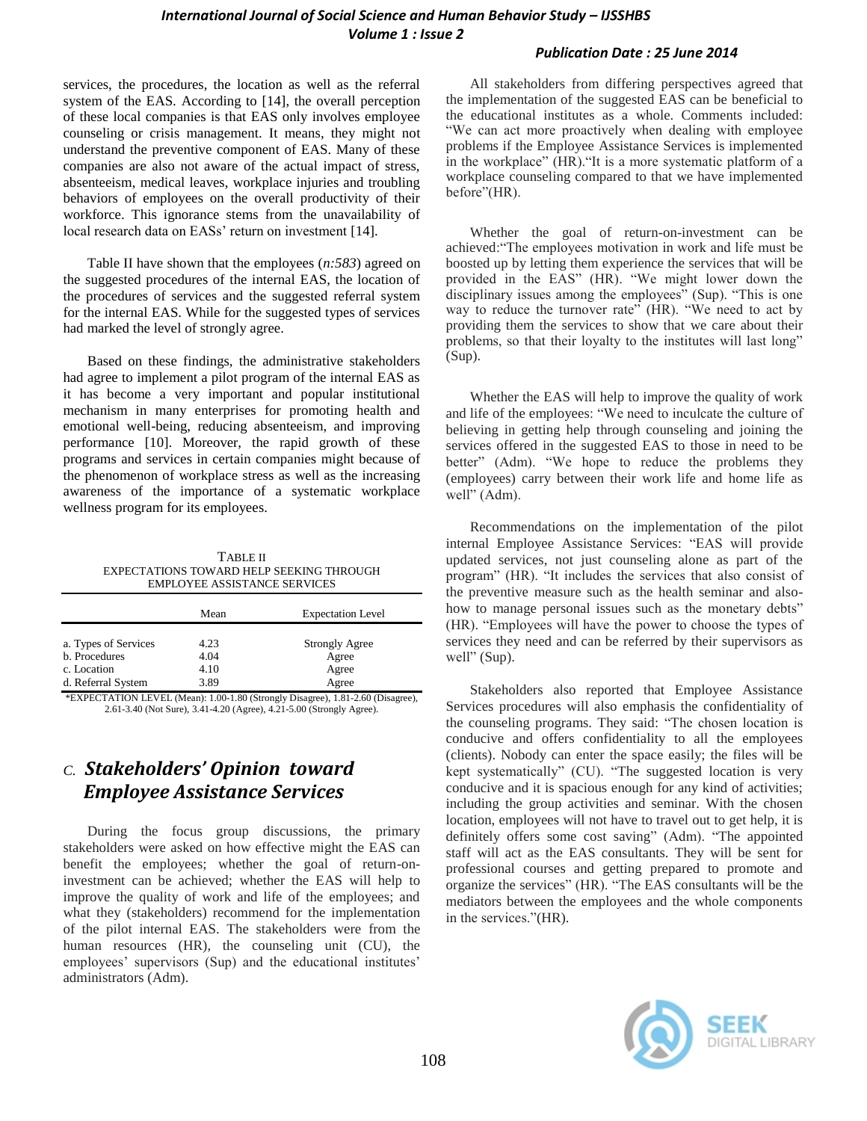#### *International Journal of Social Science and Human Behavior Study – IJSSHBS Volume 1 : Issue 2*

services, the procedures, the location as well as the referral system of the EAS. According to [14], the overall perception of these local companies is that EAS only involves employee counseling or crisis management. It means, they might not understand the preventive component of EAS. Many of these companies are also not aware of the actual impact of stress, absenteeism, medical leaves, workplace injuries and troubling behaviors of employees on the overall productivity of their workforce. This ignorance stems from the unavailability of local research data on EASs' return on investment [14].

Table II have shown that the employees (*n:583*) agreed on the suggested procedures of the internal EAS, the location of the procedures of services and the suggested referral system for the internal EAS. While for the suggested types of services had marked the level of strongly agree.

Based on these findings, the administrative stakeholders had agree to implement a pilot program of the internal EAS as it has become a very important and popular institutional mechanism in many enterprises for promoting health and emotional well-being, reducing absenteeism, and improving performance [10]. Moreover, the rapid growth of these programs and services in certain companies might because of the phenomenon of workplace stress as well as the increasing awareness of the importance of a systematic workplace wellness program for its employees.

TABLE II EXPECTATIONS TOWARD HELP SEEKING THROUGH EMPLOYEE ASSISTANCE SERVICES

|                      | Mean | <b>Expectation Level</b> |  |
|----------------------|------|--------------------------|--|
| a. Types of Services | 4.23 | <b>Strongly Agree</b>    |  |
| b. Procedures        | 4.04 | Agree                    |  |
| c. Location          | 4.10 | Agree                    |  |
| d. Referral System   | 3.89 | Agree                    |  |
|                      |      |                          |  |

\*EXPECTATION LEVEL (Mean): 1.00-1.80 (Strongly Disagree), 1.81-2.60 (Disagree), 2.61-3.40 (Not Sure), 3.41-4.20 (Agree), 4.21-5.00 (Strongly Agree).

# *C. Stakeholders' Opinion toward Employee Assistance Services*

During the focus group discussions, the primary stakeholders were asked on how effective might the EAS can benefit the employees; whether the goal of return-oninvestment can be achieved; whether the EAS will help to improve the quality of work and life of the employees; and what they (stakeholders) recommend for the implementation of the pilot internal EAS. The stakeholders were from the human resources (HR), the counseling unit (CU), the employees' supervisors (Sup) and the educational institutes' administrators (Adm).

#### *Publication Date : 25 June 2014*

All stakeholders from differing perspectives agreed that the implementation of the suggested EAS can be beneficial to the educational institutes as a whole. Comments included: ―We can act more proactively when dealing with employee problems if the Employee Assistance Services is implemented in the workplace" (HR). "It is a more systematic platform of a workplace counseling compared to that we have implemented before"(HR).

Whether the goal of return-on-investment can be achieved: "The employees motivation in work and life must be boosted up by letting them experience the services that will be provided in the EAS" (HR). "We might lower down the disciplinary issues among the employees" (Sup). "This is one way to reduce the turnover rate" (HR). "We need to act by providing them the services to show that we care about their problems, so that their loyalty to the institutes will last long" (Sup).

Whether the EAS will help to improve the quality of work and life of the employees: "We need to inculcate the culture of believing in getting help through counseling and joining the services offered in the suggested EAS to those in need to be better" (Adm). "We hope to reduce the problems they (employees) carry between their work life and home life as well" (Adm).

Recommendations on the implementation of the pilot internal Employee Assistance Services: "EAS will provide updated services, not just counseling alone as part of the program" (HR). "It includes the services that also consist of the preventive measure such as the health seminar and alsohow to manage personal issues such as the monetary debts" (HR). "Employees will have the power to choose the types of services they need and can be referred by their supervisors as well" (Sup).

Stakeholders also reported that Employee Assistance Services procedures will also emphasis the confidentiality of the counseling programs. They said: "The chosen location is conducive and offers confidentiality to all the employees (clients). Nobody can enter the space easily; the files will be kept systematically" (CU). "The suggested location is very conducive and it is spacious enough for any kind of activities; including the group activities and seminar. With the chosen location, employees will not have to travel out to get help, it is definitely offers some cost saving" (Adm). "The appointed staff will act as the EAS consultants. They will be sent for professional courses and getting prepared to promote and organize the services" (HR). "The EAS consultants will be the mediators between the employees and the whole components in the services."(HR).